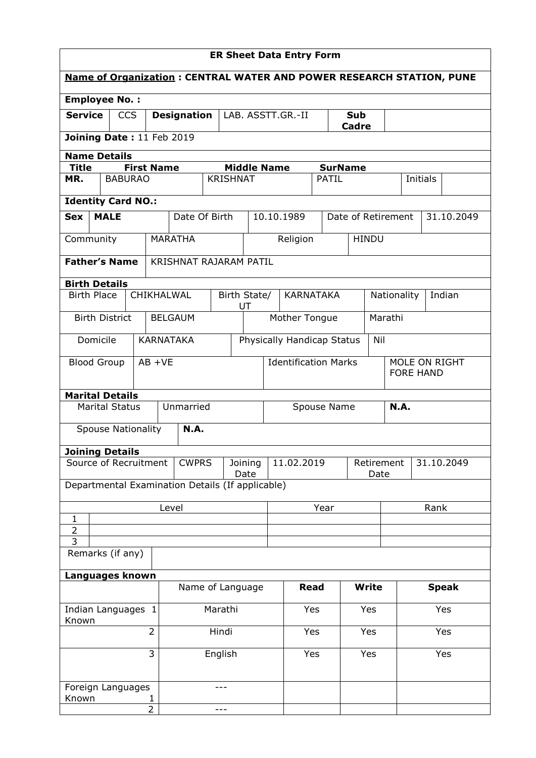| <b>ER Sheet Data Entry Form</b>                                             |                           |                   |                                                       |                        |                 |                                             |              |                                          |                             |                                |                    |              |             |                                   |        |            |  |
|-----------------------------------------------------------------------------|---------------------------|-------------------|-------------------------------------------------------|------------------------|-----------------|---------------------------------------------|--------------|------------------------------------------|-----------------------------|--------------------------------|--------------------|--------------|-------------|-----------------------------------|--------|------------|--|
| <b>Name of Organization: CENTRAL WATER AND POWER RESEARCH STATION, PUNE</b> |                           |                   |                                                       |                        |                 |                                             |              |                                          |                             |                                |                    |              |             |                                   |        |            |  |
| <b>Employee No.:</b>                                                        |                           |                   |                                                       |                        |                 |                                             |              |                                          |                             |                                |                    |              |             |                                   |        |            |  |
| <b>Service</b>                                                              | <b>CCS</b>                |                   |                                                       | <b>Designation</b>     |                 |                                             |              | <b>Sub</b><br>LAB. ASSTT.GR.-II<br>Cadre |                             |                                |                    |              |             |                                   |        |            |  |
|                                                                             | Joining Date: 11 Feb 2019 |                   |                                                       |                        |                 |                                             |              |                                          |                             |                                |                    |              |             |                                   |        |            |  |
| <b>Name Details</b>                                                         |                           |                   |                                                       |                        |                 |                                             |              |                                          |                             |                                |                    |              |             |                                   |        |            |  |
| <b>Title</b><br>MR.                                                         | <b>BABURAO</b>            | <b>First Name</b> |                                                       |                        | <b>KRISHNAT</b> |                                             |              | <b>Middle Name</b>                       |                             | <b>SurName</b><br><b>PATIL</b> |                    |              | Initials    |                                   |        |            |  |
|                                                                             |                           |                   |                                                       |                        |                 |                                             |              |                                          |                             |                                |                    |              |             |                                   |        |            |  |
| <b>Identity Card NO.:</b>                                                   |                           |                   |                                                       |                        |                 |                                             |              |                                          |                             |                                |                    |              |             |                                   |        |            |  |
| <b>Sex</b>                                                                  | <b>MALE</b>               |                   |                                                       | Date Of Birth          |                 |                                             |              | 10.10.1989                               |                             |                                | Date of Retirement |              |             |                                   |        | 31.10.2049 |  |
| Community                                                                   |                           |                   | <b>MARATHA</b>                                        |                        |                 |                                             |              |                                          | Religion                    |                                |                    | <b>HINDU</b> |             |                                   |        |            |  |
| <b>Father's Name</b>                                                        |                           |                   |                                                       | KRISHNAT RAJARAM PATIL |                 |                                             |              |                                          |                             |                                |                    |              |             |                                   |        |            |  |
| <b>Birth Details</b>                                                        |                           |                   |                                                       |                        |                 |                                             |              |                                          |                             |                                |                    |              |             |                                   |        |            |  |
| <b>Birth Place</b>                                                          |                           | CHIKHALWAL        |                                                       |                        |                 | UT                                          | Birth State/ |                                          |                             | <b>KARNATAKA</b>               |                    |              | Nationality |                                   | Indian |            |  |
| <b>Birth District</b>                                                       |                           |                   | <b>BELGAUM</b>                                        |                        |                 |                                             |              |                                          | Mother Tongue<br>Marathi    |                                |                    |              |             |                                   |        |            |  |
| Domicile                                                                    |                           |                   | <b>KARNATAKA</b><br>Physically Handicap Status<br>Nil |                        |                 |                                             |              |                                          |                             |                                |                    |              |             |                                   |        |            |  |
| <b>Blood Group</b>                                                          |                           | $AB +VE$          |                                                       |                        |                 |                                             |              |                                          | <b>Identification Marks</b> |                                |                    |              |             | MOLE ON RIGHT<br><b>FORE HAND</b> |        |            |  |
| <b>Marital Details</b>                                                      |                           |                   |                                                       |                        |                 |                                             |              |                                          |                             |                                |                    |              |             |                                   |        |            |  |
|                                                                             | <b>Marital Status</b>     |                   |                                                       | Unmarried              |                 |                                             |              |                                          |                             | Spouse Name                    |                    |              | <b>N.A.</b> |                                   |        |            |  |
|                                                                             | <b>Spouse Nationality</b> |                   |                                                       | <b>N.A.</b>            |                 |                                             |              |                                          |                             |                                |                    |              |             |                                   |        |            |  |
| <b>Joining Details</b>                                                      |                           |                   |                                                       |                        |                 |                                             |              |                                          |                             |                                |                    |              |             |                                   |        |            |  |
| Source of Recruitment                                                       |                           |                   |                                                       | <b>CWPRS</b>           |                 | 11.02.2019<br>Retirement<br>Joining<br>Date |              |                                          |                             |                                | Date               | 31.10.2049   |             |                                   |        |            |  |
| Departmental Examination Details (If applicable)                            |                           |                   |                                                       |                        |                 |                                             |              |                                          |                             |                                |                    |              |             |                                   |        |            |  |
|                                                                             | Level                     |                   |                                                       |                        |                 |                                             | Year         |                                          |                             |                                |                    |              | Rank        |                                   |        |            |  |
| $\mathbf{1}$<br>$\overline{2}$                                              |                           |                   |                                                       |                        |                 |                                             |              |                                          |                             |                                |                    |              |             |                                   |        |            |  |
| 3                                                                           |                           |                   |                                                       |                        |                 |                                             |              |                                          |                             |                                |                    |              |             |                                   |        |            |  |
| Remarks (if any)                                                            |                           |                   |                                                       |                        |                 |                                             |              |                                          |                             |                                |                    |              |             |                                   |        |            |  |
| Languages known                                                             |                           |                   |                                                       |                        |                 |                                             |              |                                          |                             |                                |                    |              |             |                                   |        |            |  |
|                                                                             | Name of Language          |                   |                                                       |                        |                 | <b>Read</b>                                 |              |                                          | <b>Write</b>                |                                |                    | <b>Speak</b> |             |                                   |        |            |  |
| Indian Languages 1<br>Known                                                 |                           |                   | Marathi                                               |                        |                 |                                             | Yes          |                                          |                             | Yes                            |                    |              | Yes         |                                   |        |            |  |
|                                                                             | $\overline{2}$<br>Hindi   |                   |                                                       |                        | Yes             |                                             | Yes          |                                          | Yes                         |                                |                    |              |             |                                   |        |            |  |
|                                                                             |                           | 3                 |                                                       |                        | English         |                                             |              |                                          | Yes                         |                                |                    | Yes          |             |                                   | Yes    |            |  |
| Foreign Languages<br>Known                                                  |                           |                   |                                                       |                        |                 |                                             |              |                                          |                             |                                |                    |              |             |                                   |        |            |  |
|                                                                             |                           | $\overline{2}$    |                                                       |                        |                 |                                             |              |                                          |                             |                                |                    |              |             |                                   |        |            |  |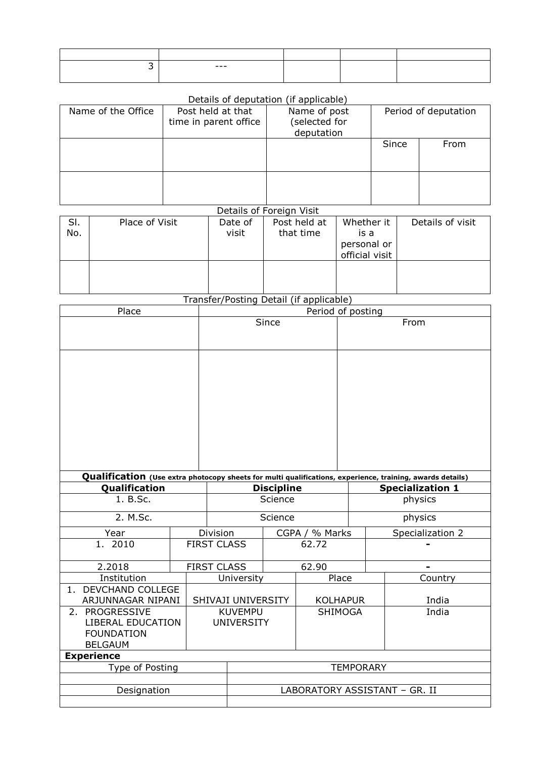| ---- |  |  |
|------|--|--|
|      |  |  |

## Details of deputation (if applicable)

| Name of the Office | Post held at that<br>time in parent office | Name of post<br>selected for)<br>deputation |       | Period of deputation |
|--------------------|--------------------------------------------|---------------------------------------------|-------|----------------------|
|                    |                                            |                                             | Since | From                 |
|                    |                                            |                                             |       |                      |

## Details of Foreign Visit

| SI.<br>No. | Place of Visit | Date of<br>visit | Post held at<br>that time | Whether it<br>is a<br>personal or<br>official visit | Details of visit |
|------------|----------------|------------------|---------------------------|-----------------------------------------------------|------------------|
|            |                |                  |                           |                                                     |                  |

Transfer/Posting Detail (if applicable)

| Place                                |  | Period of posting                                                                                         |                    |                |                 |  |                         |                  |  |  |
|--------------------------------------|--|-----------------------------------------------------------------------------------------------------------|--------------------|----------------|-----------------|--|-------------------------|------------------|--|--|
|                                      |  | Since                                                                                                     |                    |                |                 |  | From                    |                  |  |  |
|                                      |  |                                                                                                           |                    |                |                 |  |                         |                  |  |  |
|                                      |  |                                                                                                           |                    |                |                 |  |                         |                  |  |  |
|                                      |  |                                                                                                           |                    |                |                 |  |                         |                  |  |  |
|                                      |  |                                                                                                           |                    |                |                 |  |                         |                  |  |  |
|                                      |  |                                                                                                           |                    |                |                 |  |                         |                  |  |  |
|                                      |  |                                                                                                           |                    |                |                 |  |                         |                  |  |  |
|                                      |  |                                                                                                           |                    |                |                 |  |                         |                  |  |  |
|                                      |  |                                                                                                           |                    |                |                 |  |                         |                  |  |  |
|                                      |  |                                                                                                           |                    |                |                 |  |                         |                  |  |  |
|                                      |  | Qualification (Use extra photocopy sheets for multi qualifications, experience, training, awards details) |                    |                |                 |  |                         |                  |  |  |
| Qualification                        |  | <b>Discipline</b>                                                                                         |                    |                |                 |  | <b>Specialization 1</b> |                  |  |  |
| 1. B.Sc.                             |  |                                                                                                           |                    | Science        |                 |  |                         | physics          |  |  |
| 2. M.Sc.                             |  |                                                                                                           |                    | Science        |                 |  |                         | physics          |  |  |
| Year                                 |  | Division                                                                                                  |                    | CGPA / % Marks |                 |  |                         | Specialization 2 |  |  |
| 1. 2010                              |  | <b>FIRST CLASS</b>                                                                                        |                    | 62.72          |                 |  |                         |                  |  |  |
| 2.2018                               |  |                                                                                                           | <b>FIRST CLASS</b> | 62.90          |                 |  |                         |                  |  |  |
| Institution                          |  |                                                                                                           | University         | Place          |                 |  |                         | Country          |  |  |
| <b>DEVCHAND COLLEGE</b><br>1.        |  |                                                                                                           |                    |                |                 |  |                         |                  |  |  |
| ARJUNNAGAR NIPANI                    |  | SHIVAJI UNIVERSITY                                                                                        |                    |                | <b>KOLHAPUR</b> |  |                         | India            |  |  |
| 2. PROGRESSIVE                       |  |                                                                                                           | <b>KUVEMPU</b>     |                | SHIMOGA         |  |                         | India            |  |  |
| LIBERAL EDUCATION                    |  |                                                                                                           | <b>UNIVERSITY</b>  |                |                 |  |                         |                  |  |  |
| <b>FOUNDATION</b><br><b>BELGAUM</b>  |  |                                                                                                           |                    |                |                 |  |                         |                  |  |  |
|                                      |  |                                                                                                           |                    |                |                 |  |                         |                  |  |  |
| <b>Experience</b><br>Type of Posting |  |                                                                                                           |                    |                |                 |  |                         |                  |  |  |
|                                      |  | <b>TEMPORARY</b>                                                                                          |                    |                |                 |  |                         |                  |  |  |
| Designation                          |  | LABORATORY ASSISTANT - GR. II                                                                             |                    |                |                 |  |                         |                  |  |  |
|                                      |  |                                                                                                           |                    |                |                 |  |                         |                  |  |  |